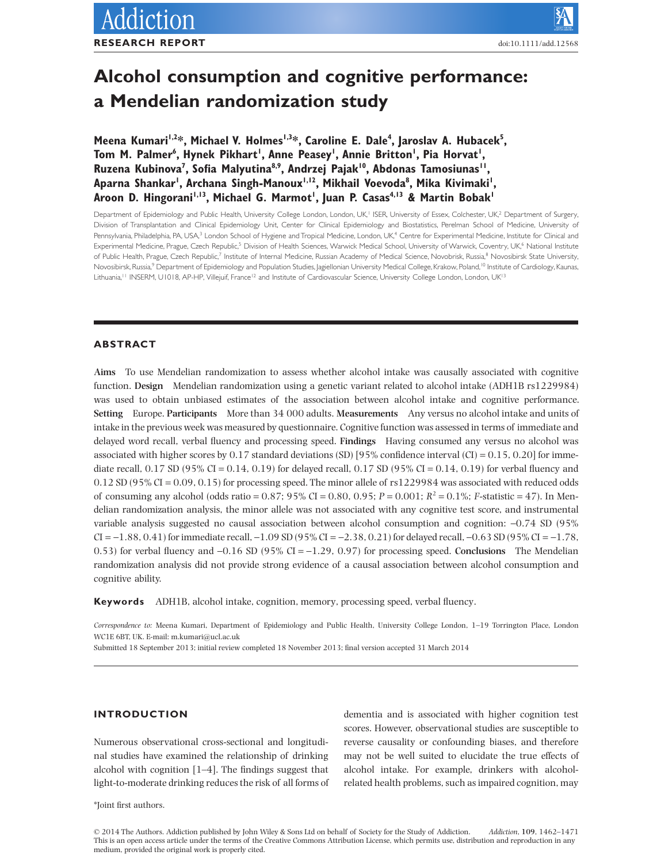# **Alcohol consumption and cognitive performance: a Mendelian randomization study**

Meena Kumari<sup>1,2</sup>\*, Michael V. Holmes<sup>1,3</sup>\*, Caroline E. Dale<sup>4</sup>, Jaroslav A. Hubacek<sup>5</sup>, Tom M. Palmer<sup>6</sup>, Hynek Pikhart', Anne Peasey', Annie Britton', Pia Horvat', Ruzena Kubinova<sup>7</sup>, Sofia Malyutina<sup>8,9</sup>, Andrzej Pajak<sup>10</sup>, Abdonas Tamosiunas<sup>11</sup>, Aparna Shankar', Archana Singh-Manoux'<sup>,12</sup>, Mikhail Voevoda<sup>8</sup>, Mika Kivimaki', Aroon D. Hingorani<sup>I,I3</sup>, Michael G. Marmot<sup>I</sup>, Juan P. Casas<sup>4,I3</sup> & Martin Bobak<sup>1</sup>

Department of Epidemiology and Public Health, University College London, London, UK,<sup>1</sup> ISER, University of Essex, Colchester, UK,<sup>2</sup> Department of Surgery, Division of Transplantation and Clinical Epidemiology Unit, Center for Clinical Epidemiology and Biostatistics, Perelman School of Medicine, University of Pennsylvania, Philadelphia, PA, USA,<sup>3</sup> London School of Hygiene and Tropical Medicine, London, UK,<sup>4</sup> Centre for Experimental Medicine, Institute for Clinical and Experimental Medicine, Prague, Czech Republic,<sup>5</sup> Division of Health Sciences, Warwick Medical School, University of Warwick, Coventry, UK,<sup>6</sup> National Institute of Public Health, Prague, Czech Republic,<sup>7</sup> Institute of Internal Medicine, Russian Academy of Medical Science, Novobrisk, Russia,<sup>8</sup> Novosibirsk State University, Novosibirsk, Russia,<sup>9</sup> Department of Epidemiology and Population Studies, Jagiellonian University Medical College, Krakow, Poland,<sup>10</sup> Institute of Cardiology, Kaunas, Lithuania,<sup>11</sup> INSERM, U1018, AP-HP, Villejuif, France<sup>12</sup> and Institute of Cardiovascular Science, University College London, London, UK<sup>13</sup>

# **ABSTRACT**

**Aims** To use Mendelian randomization to assess whether alcohol intake was causally associated with cognitive function. **Design** Mendelian randomization using a genetic variant related to alcohol intake (ADH1B rs1229984) was used to obtain unbiased estimates of the association between alcohol intake and cognitive performance. **Setting** Europe. **Participants** More than 34 000 adults. **Measurements** Any versus no alcohol intake and units of intake in the previous week was measured by questionnaire. Cognitive function was assessed in terms of immediate and delayed word recall, verbal fluency and processing speed. **Findings** Having consumed any versus no alcohol was associated with higher scores by 0.17 standard deviations (SD) [95% confidence interval (CI) = 0.15, 0.20] for immediate recall, 0.17 SD (95% CI = 0.14, 0.19) for delayed recall, 0.17 SD (95% CI = 0.14, 0.19) for verbal fluency and 0.12 SD (95% CI = 0.09, 0.15) for processing speed. The minor allele of rs1229984 was associated with reduced odds of consuming any alcohol (odds ratio = 0.87; 95% CI = 0.80, 0.95; *P* = 0.001; *R*<sup>2</sup> = 0.1%; *F*-statistic = 47). In Mendelian randomization analysis, the minor allele was not associated with any cognitive test score, and instrumental variable analysis suggested no causal association between alcohol consumption and cognition: −0.74 SD (95%  $CI = -1.88, 0.41$  for immediate recall,  $-1.09$  SD (95%  $CI = -2.38, 0.21$ ) for delayed recall,  $-0.63$  SD (95%  $CI = -1.78$ , 0.53) for verbal fluency and −0.16 SD (95% CI = −1.29, 0.97) for processing speed. **Conclusions** The Mendelian randomization analysis did not provide strong evidence of a causal association between alcohol consumption and cognitive ability.

**Keywords** ADH1B, alcohol intake, cognition, memory, processing speed, verbal fluency.

*Correspondence to:* Meena Kumari, Department of Epidemiology and Public Health, University College London, 1–19 Torrington Place, London WC1E 6BT, UK. E-mail: [m.kumari@ucl.ac.uk](mailto:m.kumari@ucl.ac.uk)

Submitted 18 September 2013; initial review completed 18 November 2013; final version accepted 31 March 2014

# **INTRODUCTION**

Numerous observational cross-sectional and longitudinal studies have examined the relationship of drinking alcohol with cognition [1–4]. The findings suggest that light-to-moderate drinking reduces the risk of all forms of dementia and is associated with higher cognition test scores. However, observational studies are susceptible to reverse causality or confounding biases, and therefore may not be well suited to elucidate the true effects of alcohol intake. For example, drinkers with alcoholrelated health problems, such as impaired cognition, may

\*Joint first authors.

© 2014 The Authors. Addiction published by John Wiley & Sons Ltd on behalf of Society for the Study of Addiction. *Addiction*, **109**, 1462–1471 This is an open access article under the terms of the [Creative Commons Attribution](http://creativecommons.org/licenses/by/3.0/) License, which permits use, distribution and reproduction in any medium, provided the original work is properly cited.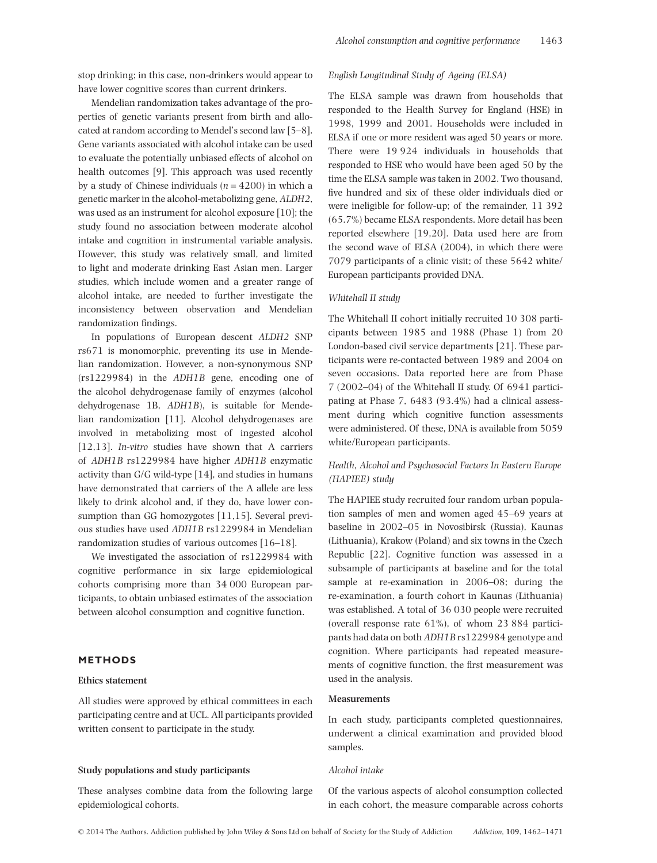stop drinking; in this case, non-drinkers would appear to have lower cognitive scores than current drinkers.

Mendelian randomization takes advantage of the properties of genetic variants present from birth and allocated at random according to Mendel's second law [5–8]. Gene variants associated with alcohol intake can be used to evaluate the potentially unbiased effects of alcohol on health outcomes [9]. This approach was used recently by a study of Chinese individuals (*n* = 4200) in which a genetic marker in the alcohol-metabolizing gene, *ALDH2*, was used as an instrument for alcohol exposure [10]; the study found no association between moderate alcohol intake and cognition in instrumental variable analysis. However, this study was relatively small, and limited to light and moderate drinking East Asian men. Larger studies, which include women and a greater range of alcohol intake, are needed to further investigate the inconsistency between observation and Mendelian randomization findings.

In populations of European descent *ALDH2* SNP rs671 is monomorphic, preventing its use in Mendelian randomization. However, a non-synonymous SNP (rs1229984) in the *ADH1B* gene, encoding one of the alcohol dehydrogenase family of enzymes (alcohol dehydrogenase 1B, *ADH1B*), is suitable for Mendelian randomization [11]. Alcohol dehydrogenases are involved in metabolizing most of ingested alcohol [12,13]. *In-vitro* studies have shown that A carriers of *ADH1B* rs1229984 have higher *ADH1B* enzymatic activity than G/G wild-type [14], and studies in humans have demonstrated that carriers of the A allele are less likely to drink alcohol and, if they do, have lower consumption than GG homozygotes [11,15]. Several previous studies have used *ADH1B* rs1229984 in Mendelian randomization studies of various outcomes [16–18].

We investigated the association of rs1229984 with cognitive performance in six large epidemiological cohorts comprising more than 34 000 European participants, to obtain unbiased estimates of the association between alcohol consumption and cognitive function.

# **METHODS**

#### **Ethics statement**

All studies were approved by ethical committees in each participating centre and at UCL. All participants provided written consent to participate in the study.

# **Study populations and study participants**

These analyses combine data from the following large epidemiological cohorts.

#### *English Longitudinal Study of Ageing (ELSA)*

The ELSA sample was drawn from households that responded to the Health Survey for England (HSE) in 1998, 1999 and 2001. Households were included in ELSA if one or more resident was aged 50 years or more. There were 19 924 individuals in households that responded to HSE who would have been aged 50 by the time the ELSA sample was taken in 2002. Two thousand, five hundred and six of these older individuals died or were ineligible for follow-up; of the remainder, 11 392 (65.7%) became ELSA respondents. More detail has been reported elsewhere [19,20]. Data used here are from the second wave of ELSA (2004), in which there were 7079 participants of a clinic visit; of these 5642 white/ European participants provided DNA.

# *Whitehall II study*

The Whitehall II cohort initially recruited 10 308 participants between 1985 and 1988 (Phase 1) from 20 London-based civil service departments [21]. These participants were re-contacted between 1989 and 2004 on seven occasions. Data reported here are from Phase 7 (2002–04) of the Whitehall II study. Of 6941 participating at Phase 7, 6483 (93.4%) had a clinical assessment during which cognitive function assessments were administered. Of these, DNA is available from 5059 white/European participants.

# *Health, Alcohol and Psychosocial Factors In Eastern Europe (HAPIEE) study*

The HAPIEE study recruited four random urban population samples of men and women aged 45–69 years at baseline in 2002–05 in Novosibirsk (Russia), Kaunas (Lithuania), Krakow (Poland) and six towns in the Czech Republic [22]. Cognitive function was assessed in a subsample of participants at baseline and for the total sample at re-examination in 2006–08; during the re-examination, a fourth cohort in Kaunas (Lithuania) was established. A total of 36 030 people were recruited (overall response rate 61%), of whom 23 884 participants had data on both *ADH1B* rs1229984 genotype and cognition. Where participants had repeated measurements of cognitive function, the first measurement was used in the analysis.

#### **Measurements**

In each study, participants completed questionnaires, underwent a clinical examination and provided blood samples.

*Alcohol intake*

Of the various aspects of alcohol consumption collected in each cohort, the measure comparable across cohorts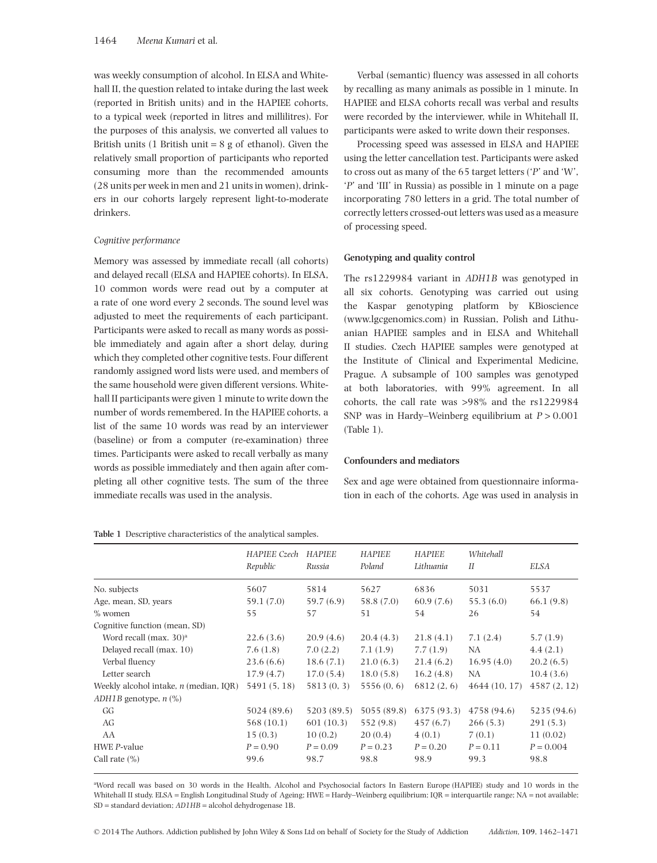was weekly consumption of alcohol. In ELSA and Whitehall II, the question related to intake during the last week (reported in British units) and in the HAPIEE cohorts, to a typical week (reported in litres and millilitres). For the purposes of this analysis, we converted all values to British units (1 British unit  $= 8$  g of ethanol). Given the relatively small proportion of participants who reported consuming more than the recommended amounts (28 units per week in men and 21 units in women), drinkers in our cohorts largely represent light-to-moderate drinkers.

#### *Cognitive performance*

Memory was assessed by immediate recall (all cohorts) and delayed recall (ELSA and HAPIEE cohorts). In ELSA, 10 common words were read out by a computer at a rate of one word every 2 seconds. The sound level was adjusted to meet the requirements of each participant. Participants were asked to recall as many words as possible immediately and again after a short delay, during which they completed other cognitive tests. Four different randomly assigned word lists were used, and members of the same household were given different versions. Whitehall II participants were given 1 minute to write down the number of words remembered. In the HAPIEE cohorts, a list of the same 10 words was read by an interviewer (baseline) or from a computer (re-examination) three times. Participants were asked to recall verbally as many words as possible immediately and then again after completing all other cognitive tests. The sum of the three immediate recalls was used in the analysis.

**Table 1** Descriptive characteristics of the analytical samples.

Verbal (semantic) fluency was assessed in all cohorts by recalling as many animals as possible in 1 minute. In HAPIEE and ELSA cohorts recall was verbal and results were recorded by the interviewer, while in Whitehall II, participants were asked to write down their responses.

Processing speed was assessed in ELSA and HAPIEE using the letter cancellation test. Participants were asked to cross out as many of the 65 target letters ('*P*' and 'W', '*P*' and 'III' in Russia) as possible in 1 minute on a page incorporating 780 letters in a grid. The total number of correctly letters crossed-out letters was used as a measure of processing speed.

#### **Genotyping and quality control**

The rs1229984 variant in *ADH1B* was genotyped in all six cohorts. Genotyping was carried out using the Kaspar genotyping platform by KBioscience [\(www.lgcgenomics.com\)](http://www.lgcgenomics.com) in Russian, Polish and Lithuanian HAPIEE samples and in ELSA and Whitehall II studies. Czech HAPIEE samples were genotyped at the Institute of Clinical and Experimental Medicine, Prague. A subsample of 100 samples was genotyped at both laboratories, with 99% agreement. In all cohorts, the call rate was >98% and the rs1229984 SNP was in Hardy–Weinberg equilibrium at *P* > 0.001 (Table 1).

# **Confounders and mediators**

Sex and age were obtained from questionnaire information in each of the cohorts. Age was used in analysis in

|                                               | HAPIEE Czech | HAPIEE      | HAPIEE      | <b>HAPIEE</b> | Whitehall     |             |
|-----------------------------------------------|--------------|-------------|-------------|---------------|---------------|-------------|
|                                               | Republic     | Russia      | Poland      | Lithuania     | II            | ELSA        |
| No. subjects                                  | 5607         | 5814        | 5627        | 6836          | 5031          | 5537        |
| Age, mean, SD, years                          | 59.1 (7.0)   | 59.7 (6.9)  | 58.8 (7.0)  | 60.9(7.6)     | 55.3(6.0)     | 66.1(9.8)   |
| $\%$ women                                    | 55           | 57          | 51          | 54            | 26            | 54          |
| Cognitive function (mean, SD)                 |              |             |             |               |               |             |
| Word recall (max. $30$ ) <sup>a</sup>         | 22.6(3.6)    | 20.9(4.6)   | 20.4(4.3)   | 21.8(4.1)     | 7.1(2.4)      | 5.7(1.9)    |
| Delayed recall (max. 10)                      | 7.6(1.8)     | 7.0(2.2)    | 7.1(1.9)    | 7.7(1.9)      | NA            | 4.4(2.1)    |
| Verbal fluency                                | 23.6(6.6)    | 18.6(7.1)   | 21.0(6.3)   | 21.4(6.2)     | 16.95(4.0)    | 20.2(6.5)   |
| Letter search                                 | 17.9(4.7)    | 17.0(5.4)   | 18.0(5.8)   | 16.2(4.8)     | NA            | 10.4(3.6)   |
| Weekly alcohol intake, <i>n</i> (median, IOR) | 5491 (5, 18) | 5813(0, 3)  | 5556(0, 6)  | 6812(2, 6)    | 4644 (10, 17) | 4587(2, 12) |
| $ADH1B$ genotype, $n$ $(\%)$                  |              |             |             |               |               |             |
| GG                                            | 5024 (89.6)  | 5203 (89.5) | 5055 (89.8) | 6375 (93.3)   | 4758 (94.6)   | 5235 (94.6) |
| AG                                            | 568 (10.1)   | 601(10.3)   | 552 (9.8)   | 457(6.7)      | 266(5.3)      | 291(5.3)    |
| AA                                            | 15(0.3)      | 10(0.2)     | 20(0.4)     | 4(0.1)        | 7(0.1)        | 11(0.02)    |
| HWE P-value                                   | $P = 0.90$   | $P = 0.09$  | $P = 0.23$  | $P = 0.20$    | $P = 0.11$    | $P = 0.004$ |
| Call rate $(\% )$                             | 99.6         | 98.7        | 98.8        | 98.9          | 99.3          | 98.8        |

a Word recall was based on 30 words in the Health, Alcohol and Psychosocial factors In Eastern Europe (HAPIEE) study and 10 words in the Whitehall II study. ELSA = English Longitudinal Study of Ageing; HWE = Hardy–Weinberg equilibrium; IQR = interquartile range; NA = not available; SD = standard deviation; *AD1HB* = alcohol dehydrogenase 1B.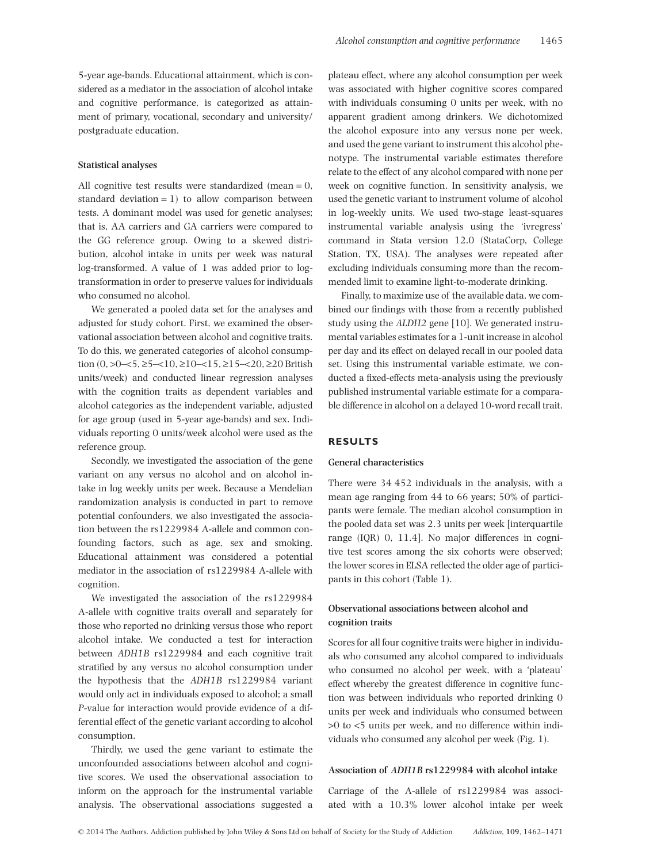5-year age-bands. Educational attainment, which is considered as a mediator in the association of alcohol intake and cognitive performance, is categorized as attainment of primary, vocational, secondary and university/ postgraduate education.

#### **Statistical analyses**

All cognitive test results were standardized (mean = 0, standard deviation  $= 1$ ) to allow comparison between tests. A dominant model was used for genetic analyses; that is, AA carriers and GA carriers were compared to the GG reference group. Owing to a skewed distribution, alcohol intake in units per week was natural log-transformed. A value of 1 was added prior to logtransformation in order to preserve values for individuals who consumed no alcohol.

We generated a pooled data set for the analyses and adjusted for study cohort. First, we examined the observational association between alcohol and cognitive traits. To do this, we generated categories of alcohol consumption  $(0, >0 < 5, \geq 5 < 10, \geq 10 < 15, \geq 15 < 20$  British units/week) and conducted linear regression analyses with the cognition traits as dependent variables and alcohol categories as the independent variable, adjusted for age group (used in 5-year age-bands) and sex. Individuals reporting 0 units/week alcohol were used as the reference group.

Secondly, we investigated the association of the gene variant on any versus no alcohol and on alcohol intake in log weekly units per week. Because a Mendelian randomization analysis is conducted in part to remove potential confounders, we also investigated the association between the rs1229984 A-allele and common confounding factors, such as age, sex and smoking. Educational attainment was considered a potential mediator in the association of rs1229984 A-allele with cognition.

We investigated the association of the rs1229984 A-allele with cognitive traits overall and separately for those who reported no drinking versus those who report alcohol intake. We conducted a test for interaction between *ADH1B* rs1229984 and each cognitive trait stratified by any versus no alcohol consumption under the hypothesis that the *ADH1B* rs1229984 variant would only act in individuals exposed to alcohol; a small *P*-value for interaction would provide evidence of a differential effect of the genetic variant according to alcohol consumption.

Thirdly, we used the gene variant to estimate the unconfounded associations between alcohol and cognitive scores. We used the observational association to inform on the approach for the instrumental variable analysis. The observational associations suggested a plateau effect, where any alcohol consumption per week was associated with higher cognitive scores compared with individuals consuming 0 units per week, with no apparent gradient among drinkers. We dichotomized the alcohol exposure into any versus none per week, and used the gene variant to instrument this alcohol phenotype. The instrumental variable estimates therefore relate to the effect of any alcohol compared with none per week on cognitive function. In sensitivity analysis, we used the genetic variant to instrument volume of alcohol in log-weekly units. We used two-stage least-squares instrumental variable analysis using the 'ivregress' command in Stata version 12.0 (StataCorp, College Station, TX, USA). The analyses were repeated after excluding individuals consuming more than the recommended limit to examine light-to-moderate drinking.

Finally, to maximize use of the available data, we combined our findings with those from a recently published study using the *ALDH2* gene [10]. We generated instrumental variables estimates for a 1-unit increase in alcohol per day and its effect on delayed recall in our pooled data set. Using this instrumental variable estimate, we conducted a fixed-effects meta-analysis using the previously published instrumental variable estimate for a comparable difference in alcohol on a delayed 10-word recall trait.

# **RESULTS**

#### **General characteristics**

There were 34 452 individuals in the analysis, with a mean age ranging from 44 to 66 years; 50% of participants were female. The median alcohol consumption in the pooled data set was 2.3 units per week [interquartile range (IQR) 0, 11.4]. No major differences in cognitive test scores among the six cohorts were observed; the lower scores in ELSA reflected the older age of participants in this cohort (Table 1).

# **Observational associations between alcohol and cognition traits**

Scores for all four cognitive traits were higher in individuals who consumed any alcohol compared to individuals who consumed no alcohol per week, with a 'plateau' effect whereby the greatest difference in cognitive function was between individuals who reported drinking 0 units per week and individuals who consumed between >0 to <5 units per week, and no difference within individuals who consumed any alcohol per week (Fig. 1).

### **Association of** *ADH1B* **rs1229984 with alcohol intake**

Carriage of the A-allele of rs1229984 was associated with a 10.3% lower alcohol intake per week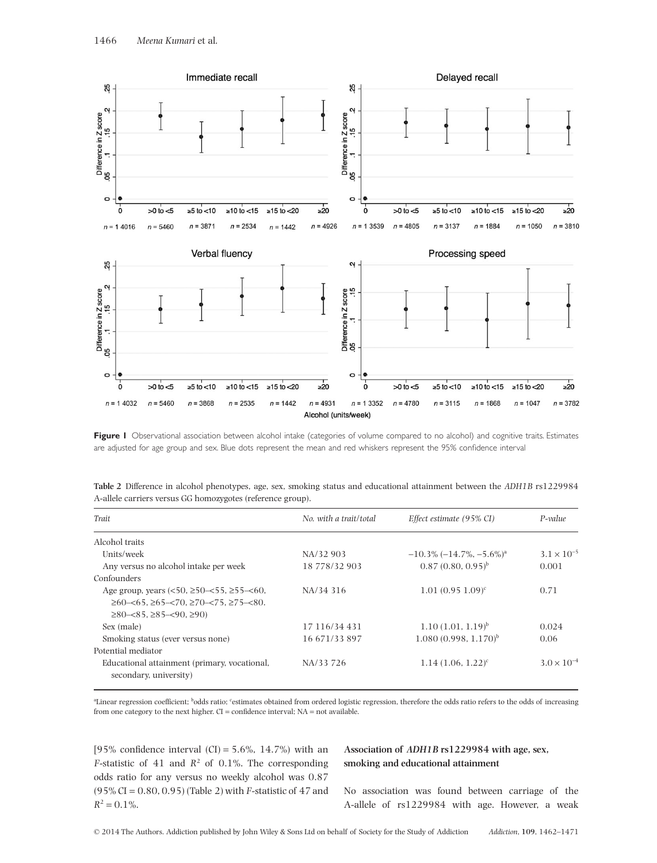

Figure I Observational association between alcohol intake (categories of volume compared to no alcohol) and cognitive traits. Estimates are adjusted for age group and sex. Blue dots represent the mean and red whiskers represent the 95% confidence interval

| Trait                                                                                                                                                                                                              | No. with a trait/total | Effect estimate (95% CI)                        | P-value              |
|--------------------------------------------------------------------------------------------------------------------------------------------------------------------------------------------------------------------|------------------------|-------------------------------------------------|----------------------|
| Alcohol traits                                                                                                                                                                                                     |                        |                                                 |                      |
| Units/week                                                                                                                                                                                                         | NA/32 903              | $-10.3\%$ ( $-14.7\%$ , $-5.6\%$ ) <sup>a</sup> | $3.1 \times 10^{-5}$ |
| Any versus no alcohol intake per week                                                                                                                                                                              | 18 778/32 903          | $0.87(0.80, 0.95)^{b}$                          | 0.001                |
| Confounders                                                                                                                                                                                                        |                        |                                                 |                      |
| Age group, years $(<50, \geq 50-\lt; 55, \geq 55-\lt; 60$ ,<br>$\geq 60$ - $\lt 65$ , $\geq 65$ - $\lt 70$ , $\geq 70$ - $\lt 75$ , $\geq 75$ - $\lt 80$ .<br>$\geq$ 80- $\lt$ 85, $\geq$ 85- $\lt$ 90, $\geq$ 90) | NA/34 316              | $1.01(0.951.09)^c$                              | 0.71                 |
| Sex (male)                                                                                                                                                                                                         | 17 116/34 431          | $1.10(1.01, 1.19)^{b}$                          | 0.024                |
| Smoking status (ever versus none)                                                                                                                                                                                  | 16 671/33 897          | $1.080(0.998, 1.170)^{b}$                       | 0.06                 |
| Potential mediator                                                                                                                                                                                                 |                        |                                                 |                      |
| Educational attainment (primary, vocational,<br>secondary, university)                                                                                                                                             | NA/33 726              | $1.14$ $(1.06, 1.22)^c$                         | $3.0 \times 10^{-4}$ |

**Table 2** Difference in alcohol phenotypes, age, sex, smoking status and educational attainment between the *ADH1B* rs1229984 A-allele carriers versus GG homozygotes (reference group).

<sup>a</sup>Linear regression coefficient; <sup>b</sup>odds ratio; <sup>c</sup>estimates obtained from ordered logistic regression, therefore the odds ratio refers to the odds of increasing from one category to the next higher. CI = confidence interval; NA = not available.

[95% confidence interval  $(CI) = 5.6\%$ , 14.7%) with an *F*-statistic of 41 and  $R^2$  of 0.1%. The corresponding odds ratio for any versus no weekly alcohol was 0.87 (95% CI = 0.80, 0.95) (Table 2) with *F*-statistic of 47 and  $R^2 = 0.1\%$ .

# **Association of** *ADH1B* **rs1229984 with age, sex, smoking and educational attainment**

No association was found between carriage of the A-allele of rs1229984 with age. However, a weak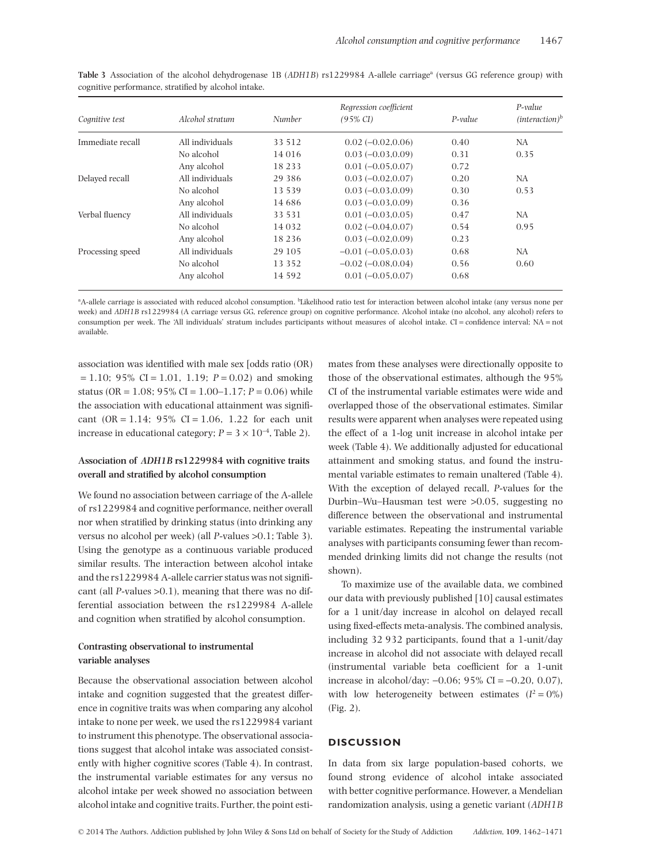|                  |                 |               | Regression coefficient    |         | P-value                    |
|------------------|-----------------|---------------|---------------------------|---------|----------------------------|
| Cognitive test   | Alcohol stratum | <b>Number</b> | $(95\% \text{ CI})$       | P-value | $(interator)$ <sup>b</sup> |
| Immediate recall | All individuals | 33 512        | $0.02(-0.02, 0.06)$       | 0.40    | NA                         |
|                  | No alcohol      | 14 016        | $0.03(-0.03, 0.09)$       | 0.31    | 0.35                       |
|                  | Any alcohol     | 18 2 3 3      | $0.01(-0.05, 0.07)$       | 0.72    |                            |
| Delayed recall   | All individuals | 29 3 8 6      | $0.03(-0.02, 0.07)$       | 0.20    | NA                         |
|                  | No alcohol      | 13 539        | $0.03(-0.03, 0.09)$       | 0.30    | 0.53                       |
|                  | Any alcohol     | 14 68 6       | $0.03(-0.03, 0.09)$       | 0.36    |                            |
| Verbal fluency   | All individuals | 33 531        | $0.01(-0.03, 0.05)$       | 0.47    | NA                         |
|                  | No alcohol      | 14 0 32       | $0.02(-0.04, 0.07)$       | 0.54    | 0.95                       |
|                  | Any alcohol     | 18 2 3 6      | $0.03(-0.02, 0.09)$       | 0.23    |                            |
| Processing speed | All individuals | 29 105        | $-0.01(-0.05,0.03)$       | 0.68    | NA                         |
|                  | No alcohol      | 13 3 5 2      | $-0.02$ ( $-0.08, 0.04$ ) | 0.56    | 0.60                       |
|                  | Any alcohol     | 14 5 9 2      | $0.01(-0.05,0.07)$        | 0.68    |                            |

**Table 3** Association of the alcohol dehydrogenase 1B (*ADH1B*) rs1229984 A-allele carriage<sup>a</sup> (versus GG reference group) with cognitive performance, stratified by alcohol intake.

<sup>a</sup>A-allele carriage is associated with reduced alcohol consumption. <sup>b</sup>Likelihood ratio test for interaction between alcohol intake (any versus none per week) and *ADH1B* rs1229984 (A carriage versus GG, reference group) on cognitive performance. Alcohol intake (no alcohol, any alcohol) refers to consumption per week. The 'All individuals' stratum includes participants without measures of alcohol intake. CI = confidence interval; NA = not available.

association was identified with male sex [odds ratio (OR)  $= 1.10$ ; 95% CI = 1.01, 1.19;  $P = 0.02$ ) and smoking status (OR =  $1.08$ ; 95% CI =  $1.00-1.17$ ;  $P = 0.06$ ) while the association with educational attainment was significant (OR = 1.14;  $95\%$  CI = 1.06, 1.22 for each unit increase in educational category;  $P = 3 \times 10^{-4}$ , Table 2).

# **Association of** *ADH1B* **rs1229984 with cognitive traits overall and stratified by alcohol consumption**

We found no association between carriage of the A-allele of rs1229984 and cognitive performance, neither overall nor when stratified by drinking status (into drinking any versus no alcohol per week) (all *P*-values >0.1; Table 3). Using the genotype as a continuous variable produced similar results. The interaction between alcohol intake and the rs1229984 A-allele carrier status was not significant (all *P*-values >0.1), meaning that there was no differential association between the rs1229984 A-allele and cognition when stratified by alcohol consumption.

# **Contrasting observational to instrumental variable analyses**

Because the observational association between alcohol intake and cognition suggested that the greatest difference in cognitive traits was when comparing any alcohol intake to none per week, we used the rs1229984 variant to instrument this phenotype. The observational associations suggest that alcohol intake was associated consistently with higher cognitive scores (Table 4). In contrast, the instrumental variable estimates for any versus no alcohol intake per week showed no association between alcohol intake and cognitive traits. Further, the point estimates from these analyses were directionally opposite to those of the observational estimates, although the 95% CI of the instrumental variable estimates were wide and overlapped those of the observational estimates. Similar results were apparent when analyses were repeated using the effect of a 1-log unit increase in alcohol intake per week (Table 4). We additionally adjusted for educational attainment and smoking status, and found the instrumental variable estimates to remain unaltered (Table 4). With the exception of delayed recall, *P*-values for the Durbin–Wu–Hausman test were >0.05, suggesting no difference between the observational and instrumental variable estimates. Repeating the instrumental variable analyses with participants consuming fewer than recommended drinking limits did not change the results (not shown).

To maximize use of the available data, we combined our data with previously published [10] causal estimates for a 1 unit/day increase in alcohol on delayed recall using fixed-effects meta-analysis. The combined analysis, including 32 932 participants, found that a 1-unit/day increase in alcohol did not associate with delayed recall (instrumental variable beta coefficient for a 1-unit increase in alcohol/day: −0.06; 95% CI = −0.20, 0.07), with low heterogeneity between estimates  $(I^2 = 0\%)$ (Fig. 2).

# **DISCUSSION**

In data from six large population-based cohorts, we found strong evidence of alcohol intake associated with better cognitive performance. However, a Mendelian randomization analysis, using a genetic variant (*ADH1B*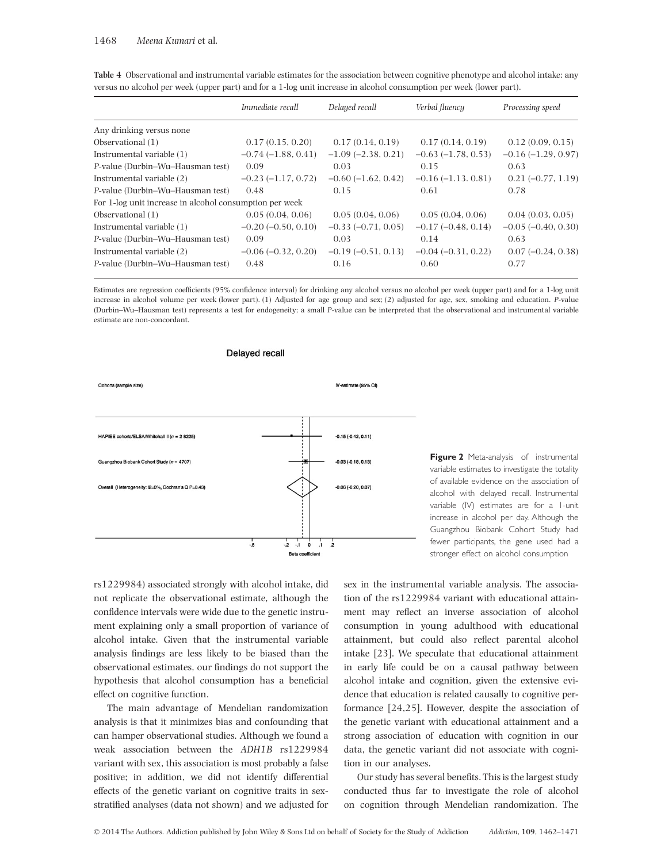### 1468 *Meena Kumari* et al*.*

|                                                         | Immediate recall        | Delayed recall          | Verbal fluency       | Processing speed     |
|---------------------------------------------------------|-------------------------|-------------------------|----------------------|----------------------|
| Any drinking versus none                                |                         |                         |                      |                      |
| Observational $(1)$                                     | 0.17(0.15, 0.20)        | 0.17(0.14, 0.19)        | 0.17(0.14, 0.19)     | 0.12(0.09, 0.15)     |
| Instrumental variable (1)                               | $-0.74(-1.88, 0.41)$    | $-1.09$ $(-2.38, 0.21)$ | $-0.63(-1.78, 0.53)$ | $-0.16(-1.29, 0.97)$ |
| P-value (Durbin-Wu-Hausman test)                        | 0.09                    | 0.03                    | 0.15                 | 0.63                 |
| Instrumental variable (2)                               | $-0.23(-1.17, 0.72)$    | $-0.60$ $(-1.62, 0.42)$ | $-0.16(-1.13.0.81)$  | $0.21(-0.77, 1.19)$  |
| P-value (Durbin-Wu-Hausman test)                        | 0.48                    | 0.15                    | 0.61                 | 0.78                 |
| For 1-log unit increase in alcohol consumption per week |                         |                         |                      |                      |
| Observational $(1)$                                     | 0.05(0.04, 0.06)        | 0.05(0.04, 0.06)        | 0.05(0.04, 0.06)     | 0.04(0.03, 0.05)     |
| Instrumental variable (1)                               | $-0.20$ $(-0.50, 0.10)$ | $-0.33(-0.71, 0.05)$    | $-0.17(-0.48, 0.14)$ | $-0.05(-0.40, 0.30)$ |
| P-value (Durbin-Wu-Hausman test)                        | 0.09                    | 0.03                    | 0.14                 | 0.63                 |
| Instrumental variable (2)                               | $-0.06$ $(-0.32, 0.20)$ | $-0.19(-0.51, 0.13)$    | $-0.04(-0.31, 0.22)$ | $0.07(-0.24, 0.38)$  |
| P-value (Durbin-Wu-Hausman test)                        | 0.48                    | 0.16                    | 0.60                 | 0.77                 |

**Table 4** Observational and instrumental variable estimates for the association between cognitive phenotype and alcohol intake: any versus no alcohol per week (upper part) and for a 1-log unit increase in alcohol consumption per week (lower part).

Estimates are regression coefficients (95% confidence interval) for drinking any alcohol versus no alcohol per week (upper part) and for a 1-log unit increase in alcohol volume per week (lower part). (1) Adjusted for age group and sex; (2) adjusted for age, sex, smoking and education. *P*-value (Durbin–Wu–Hausman test) represents a test for endogeneity; a small *P*-value can be interpreted that the observational and instrumental variable estimate are non-concordant.



**Figure 2** Meta-analysis of instrumental variable estimates to investigate the totality of available evidence on the association of alcohol with delayed recall. Instrumental variable (IV) estimates are for a 1-unit increase in alcohol per day. Although the Guangzhou Biobank Cohort Study had fewer participants, the gene used had a stronger effect on alcohol consumption

rs1229984) associated strongly with alcohol intake, did not replicate the observational estimate, although the confidence intervals were wide due to the genetic instrument explaining only a small proportion of variance of alcohol intake. Given that the instrumental variable analysis findings are less likely to be biased than the observational estimates, our findings do not support the hypothesis that alcohol consumption has a beneficial effect on cognitive function.

The main advantage of Mendelian randomization analysis is that it minimizes bias and confounding that can hamper observational studies. Although we found a weak association between the *ADH1B* rs1229984 variant with sex, this association is most probably a false positive; in addition, we did not identify differential effects of the genetic variant on cognitive traits in sexstratified analyses (data not shown) and we adjusted for sex in the instrumental variable analysis. The association of the rs1229984 variant with educational attainment may reflect an inverse association of alcohol consumption in young adulthood with educational attainment, but could also reflect parental alcohol intake [23]. We speculate that educational attainment in early life could be on a causal pathway between alcohol intake and cognition, given the extensive evidence that education is related causally to cognitive performance [24,25]. However, despite the association of the genetic variant with educational attainment and a strong association of education with cognition in our data, the genetic variant did not associate with cognition in our analyses.

Our study has several benefits. This is the largest study conducted thus far to investigate the role of alcohol on cognition through Mendelian randomization. The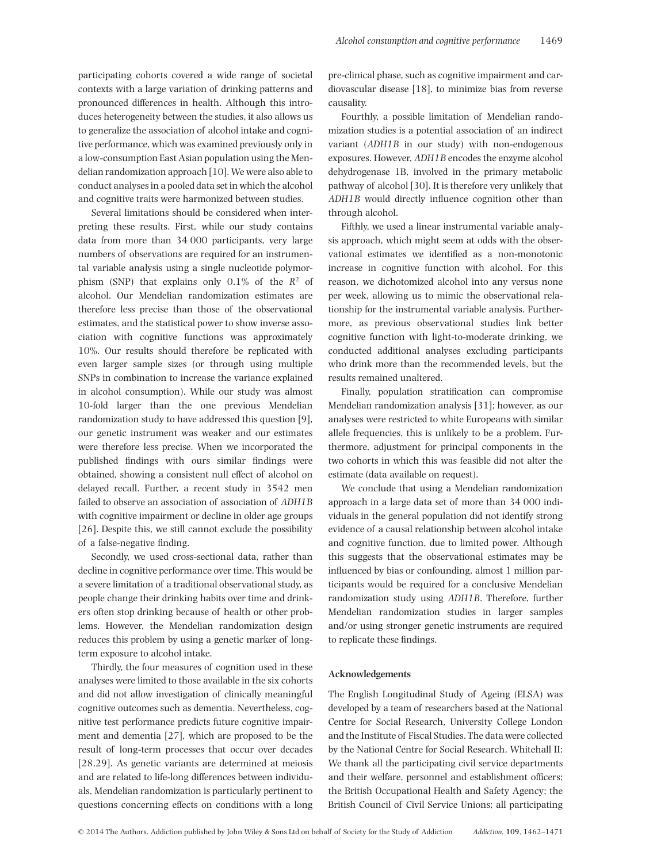participating cohorts covered a wide range of societal contexts with a large variation of drinking patterns and pronounced differences in health. Although this introduces heterogeneity between the studies, it also allows us to generalize the association of alcohol intake and cognitive performance, which was examined previously only in a low-consumption East Asian population using the Mendelian randomization approach [10]. We were also able to conduct analyses in a pooled data set in which the alcohol and cognitive traits were harmonized between studies.

Several limitations should be considered when interpreting these results. First, while our study contains data from more than 34 000 participants, very large numbers of observations are required for an instrumental variable analysis using a single nucleotide polymorphism (SNP) that explains only 0.1% of the *R*<sup>2</sup> of alcohol. Our Mendelian randomization estimates are therefore less precise than those of the observational estimates, and the statistical power to show inverse association with cognitive functions was approximately 10%. Our results should therefore be replicated with even larger sample sizes (or through using multiple SNPs in combination to increase the variance explained in alcohol consumption). While our study was almost 10-fold larger than the one previous Mendelian randomization study to have addressed this question [9], our genetic instrument was weaker and our estimates were therefore less precise. When we incorporated the published findings with ours similar findings were obtained, showing a consistent null effect of alcohol on delayed recall. Further, a recent study in 3542 men failed to observe an association of association of *ADH1B* with cognitive impairment or decline in older age groups [26]. Despite this, we still cannot exclude the possibility of a false-negative finding.

Secondly, we used cross-sectional data, rather than decline in cognitive performance over time. This would be a severe limitation of a traditional observational study, as people change their drinking habits over time and drinkers often stop drinking because of health or other problems. However, the Mendelian randomization design reduces this problem by using a genetic marker of longterm exposure to alcohol intake.

Thirdly, the four measures of cognition used in these analyses were limited to those available in the six cohorts and did not allow investigation of clinically meaningful cognitive outcomes such as dementia. Nevertheless, cognitive test performance predicts future cognitive impairment and dementia [27], which are proposed to be the result of long-term processes that occur over decades [28,29]. As genetic variants are determined at meiosis and are related to life-long differences between individuals, Mendelian randomization is particularly pertinent to questions concerning effects on conditions with a long

pre-clinical phase, such as cognitive impairment and cardiovascular disease [18], to minimize bias from reverse causality.

Fourthly, a possible limitation of Mendelian randomization studies is a potential association of an indirect variant (*ADH1B* in our study) with non-endogenous exposures. However, *ADH1B* encodes the enzyme alcohol dehydrogenase 1B, involved in the primary metabolic pathway of alcohol [30]. It is therefore very unlikely that *ADH1B* would directly influence cognition other than through alcohol.

Fifthly, we used a linear instrumental variable analysis approach, which might seem at odds with the observational estimates we identified as a non-monotonic increase in cognitive function with alcohol. For this reason, we dichotomized alcohol into any versus none per week, allowing us to mimic the observational relationship for the instrumental variable analysis. Furthermore, as previous observational studies link better cognitive function with light-to-moderate drinking, we conducted additional analyses excluding participants who drink more than the recommended levels, but the results remained unaltered.

Finally, population stratification can compromise Mendelian randomization analysis [31]; however, as our analyses were restricted to white Europeans with similar allele frequencies, this is unlikely to be a problem. Furthermore, adjustment for principal components in the two cohorts in which this was feasible did not alter the estimate (data available on request).

We conclude that using a Mendelian randomization approach in a large data set of more than 34 000 individuals in the general population did not identify strong evidence of a causal relationship between alcohol intake and cognitive function, due to limited power. Although this suggests that the observational estimates may be influenced by bias or confounding, almost 1 million participants would be required for a conclusive Mendelian randomization study using *ADH1B*. Therefore, further Mendelian randomization studies in larger samples and/or using stronger genetic instruments are required to replicate these findings.

#### **Acknowledgements**

The English Longitudinal Study of Ageing (ELSA) was developed by a team of researchers based at the National Centre for Social Research, University College London and the Institute of Fiscal Studies. The data were collected by the National Centre for Social Research. Whitehall II: We thank all the participating civil service departments and their welfare, personnel and establishment officers; the British Occupational Health and Safety Agency; the British Council of Civil Service Unions; all participating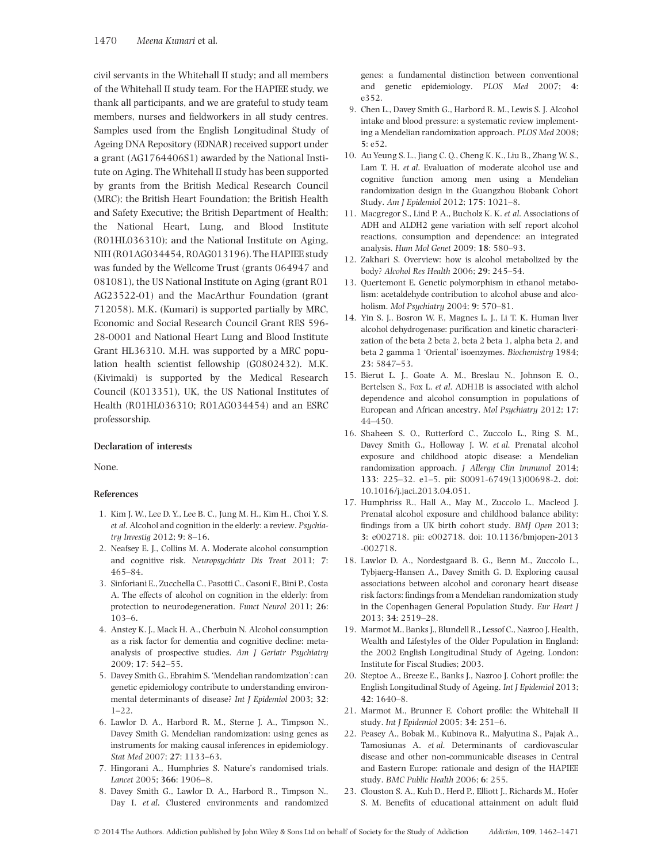civil servants in the Whitehall II study; and all members of the Whitehall II study team. For the HAPIEE study, we thank all participants, and we are grateful to study team members, nurses and fieldworkers in all study centres. Samples used from the English Longitudinal Study of Ageing DNA Repository (EDNAR) received support under a grant (AG1764406S1) awarded by the National Institute on Aging. The Whitehall II study has been supported by grants from the British Medical Research Council (MRC); the British Heart Foundation; the British Health and Safety Executive; the British Department of Health; the National Heart, Lung, and Blood Institute (R01HL036310); and the National Institute on Aging, NIH (R01AG034454, R0AG013196). The HAPIEE study was funded by the Wellcome Trust (grants 064947 and 081081), the US National Institute on Aging (grant R01 AG23522-01) and the MacArthur Foundation (grant 712058). M.K. (Kumari) is supported partially by MRC, Economic and Social Research Council Grant RES 596- 28-0001 and National Heart Lung and Blood Institute Grant HL36310. M.H. was supported by a MRC population health scientist fellowship (G0802432). M.K. (Kivimaki) is supported by the Medical Research Council (K013351), UK, the US National Institutes of Health (R01HL036310; R01AG034454) and an ESRC professorship.

#### **Declaration of interests**

None.

#### **References**

- 1. Kim J. W., Lee D. Y., Lee B. C., Jung M. H., Kim H., Choi Y. S. *et al*. Alcohol and cognition in the elderly: a review. *Psychiatry Investig* 2012; **9**: 8–16.
- 2. Neafsey E. J., Collins M. A. Moderate alcohol consumption and cognitive risk. *Neuropsychiatr Dis Treat* 2011; **7**: 465–84.
- 3. Sinforiani E., Zucchella C., Pasotti C., Casoni F., Bini P., Costa A. The effects of alcohol on cognition in the elderly: from protection to neurodegeneration. *Funct Neurol* 2011; **26**: 103–6.
- 4. Anstey K. J., Mack H. A., Cherbuin N. Alcohol consumption as a risk factor for dementia and cognitive decline: metaanalysis of prospective studies. *Am J Geriatr Psychiatry* 2009; **17**: 542–55.
- 5. Davey Smith G., Ebrahim S. 'Mendelian randomization': can genetic epidemiology contribute to understanding environmental determinants of disease? *Int J Epidemiol* 2003; **32**: 1–22.
- 6. Lawlor D. A., Harbord R. M., Sterne J. A., Timpson N., Davey Smith G. Mendelian randomization: using genes as instruments for making causal inferences in epidemiology. *Stat Med* 2007; **27**: 1133–63.
- 7. Hingorani A., Humphries S. Nature's randomised trials. *Lancet* 2005; **366**: 1906–8.
- 8. Davey Smith G., Lawlor D. A., Harbord R., Timpson N., Day I. *et al*. Clustered environments and randomized

genes: a fundamental distinction between conventional and genetic epidemiology. *PLOS Med* 2007; **4**: e352.

- 9. Chen L., Davey Smith G., Harbord R. M., Lewis S. J. Alcohol intake and blood pressure: a systematic review implementing a Mendelian randomization approach. *PLOS Med* 2008; **5**: e52.
- 10. Au Yeung S. L., Jiang C. Q., Cheng K. K., Liu B., Zhang W. S., Lam T. H. *et al*. Evaluation of moderate alcohol use and cognitive function among men using a Mendelian randomization design in the Guangzhou Biobank Cohort Study. *Am J Epidemiol* 2012; **175**: 1021–8.
- 11. Macgregor S., Lind P. A., Bucholz K. K. *et al*. Associations of ADH and ALDH2 gene variation with self report alcohol reactions, consumption and dependence: an integrated analysis. *Hum Mol Genet* 2009; **18**: 580–93.
- 12. Zakhari S. Overview: how is alcohol metabolized by the body? *Alcohol Res Health* 2006; **29**: 245–54.
- 13. Quertemont E. Genetic polymorphism in ethanol metabolism: acetaldehyde contribution to alcohol abuse and alcoholism. *Mol Psychiatry* 2004; **9**: 570–81.
- 14. Yin S. J., Bosron W. F., Magnes L. J., Li T. K. Human liver alcohol dehydrogenase: purification and kinetic characterization of the beta 2 beta 2, beta 2 beta 1, alpha beta 2, and beta 2 gamma 1 'Oriental' isoenzymes. *Biochemistry* 1984; **23**: 5847–53.
- 15. Bierut L. J., Goate A. M., Breslau N., Johnson E. O., Bertelsen S., Fox L. *et al*. ADH1B is associated with alchol dependence and alcohol consumption in populations of European and African ancestry. *Mol Psychiatry* 2012; **17**: 44–450.
- 16. Shaheen S. O., Rutterford C., Zuccolo L., Ring S. M., Davey Smith G., Holloway J. W. *et al*. Prenatal alcohol exposure and childhood atopic disease: a Mendelian randomization approach. *J Allergy Clin Immunol* 2014; **133**: 225–32. e1–5. pii: S0091-6749(13)00698-2. doi: 10.1016/j.jaci.2013.04.051.
- 17. Humphriss R., Hall A., May M., Zuccolo L., Macleod J. Prenatal alcohol exposure and childhood balance ability: findings from a UK birth cohort study. *BMJ Open* 2013; **3**: e002718. pii: e002718. doi: 10.1136/bmjopen-2013 -002718.
- 18. Lawlor D. A., Nordestgaard B. G., Benn M., Zuccolo L., Tybjaerg-Hansen A., Davey Smith G. D. Exploring causal associations between alcohol and coronary heart disease risk factors: findings from a Mendelian randomization study in the Copenhagen General Population Study. *Eur Heart J* 2013; **34**: 2519–28.
- 19. Marmot M., Banks J., Blundell R., Lessof C., Nazroo J. Health, Wealth and Lifestyles of the Older Population in England: the 2002 English Longitudinal Study of Ageing. London: Institute for Fiscal Studies; 2003.
- 20. Steptoe A., Breeze E., Banks J., Nazroo J. Cohort profile: the English Longitudinal Study of Ageing. *Int J Epidemiol* 2013; **42**: 1640–8.
- 21. Marmot M., Brunner E. Cohort profile: the Whitehall II study. *Int J Epidemiol* 2005; **34**: 251–6.
- 22. Peasey A., Bobak M., Kubinova R., Malyutina S., Pajak A., Tamosiunas A. *et al*. Determinants of cardiovascular disease and other non-communicable diseases in Central and Eastern Europe: rationale and design of the HAPIEE study. *BMC Public Health* 2006; **6**: 255.
- 23. Clouston S. A., Kuh D., Herd P., Elliott J., Richards M., Hofer S. M. Benefits of educational attainment on adult fluid